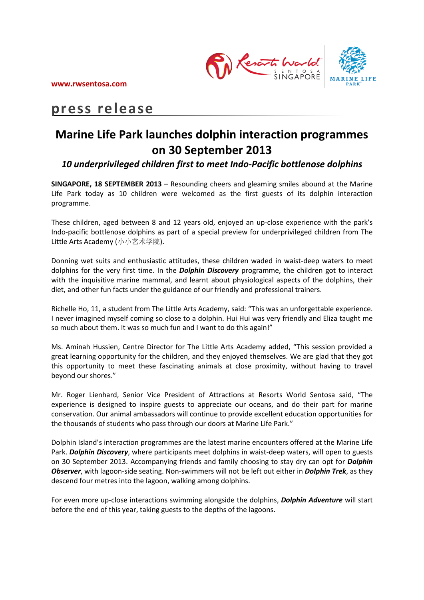

# **press release**

# **Marine Life Park launches dolphin interaction programmes on 30 September 2013**

# *10 underprivileged children first to meet Indo-Pacific bottlenose dolphins*

**SINGAPORE, 18 SEPTEMBER 2013** – Resounding cheers and gleaming smiles abound at the Marine Life Park today as 10 children were welcomed as the first guests of its dolphin interaction programme.

These children, aged between 8 and 12 years old, enjoyed an up-close experience with the park's Indo-pacific bottlenose dolphins as part of a special preview for underprivileged children from The Little Arts Academy (小小艺术学院).

Donning wet suits and enthusiastic attitudes, these children waded in waist-deep waters to meet dolphins for the very first time. In the *Dolphin Discovery* programme, the children got to interact with the inquisitive marine mammal, and learnt about physiological aspects of the dolphins, their diet, and other fun facts under the guidance of our friendly and professional trainers.

Richelle Ho, 11, a student from The Little Arts Academy, said: "This was an unforgettable experience. I never imagined myself coming so close to a dolphin. Hui Hui was very friendly and Eliza taught me so much about them. It was so much fun and I want to do this again!"

Ms. Aminah Hussien, Centre Director for The Little Arts Academy added, "This session provided a great learning opportunity for the children, and they enjoyed themselves. We are glad that they got this opportunity to meet these fascinating animals at close proximity, without having to travel beyond our shores."

Mr. Roger Lienhard, Senior Vice President of Attractions at Resorts World Sentosa said, "The experience is designed to inspire guests to appreciate our oceans, and do their part for marine conservation. Our animal ambassadors will continue to provide excellent education opportunities for the thousands of students who pass through our doors at Marine Life Park."

Dolphin Island's interaction programmes are the latest marine encounters offered at the Marine Life Park. *Dolphin Discovery*, where participants meet dolphins in waist-deep waters, will open to guests on 30 September 2013. Accompanying friends and family choosing to stay dry can opt for *Dolphin Observer*, with lagoon-side seating. Non-swimmers will not be left out either in *Dolphin Trek*, as they descend four metres into the lagoon, walking among dolphins.

For even more up-close interactions swimming alongside the dolphins, *Dolphin Adventure* will start before the end of this year, taking guests to the depths of the lagoons.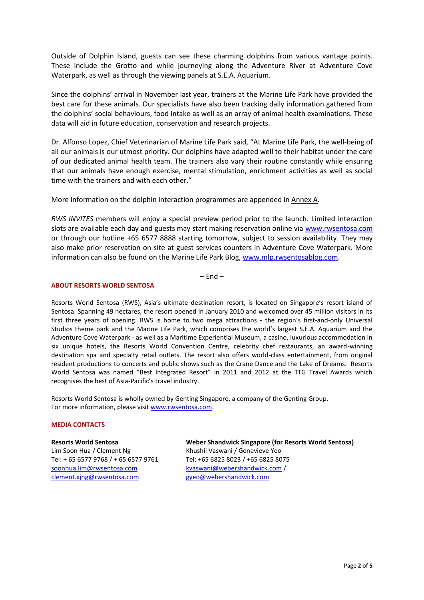Outside of Dolphin Island, guests can see these charming dolphins from various vantage points. These include the Grotto and while journeying along the Adventure River at Adventure Cove Waterpark, as well as through the viewing panels at S.E.A. Aquarium.

Since the dolphins' arrival in November last year, trainers at the Marine Life Park have provided the best care for these animals. Our specialists have also been tracking daily information gathered from the dolphins' social behaviours, food intake as well as an array of animal health examinations. These data will aid in future education, conservation and research projects.

Dr. Alfonso Lopez, Chief Veterinarian of Marine Life Park said, "At Marine Life Park, the well-being of all our animals is our utmost priority. Our dolphins have adapted well to their habitat under the care of our dedicated animal health team. The trainers also vary their routine constantly while ensuring that our animals have enough exercise, mental stimulation, enrichment activities as well as social time with the trainers and with each other."

More information on the dolphin interaction programmes are appended in Annex A.

*RWS INVITES* members will enjoy a special preview period prior to the launch. Limited interaction slots are available each day and guests may start making reservation online via [www.rwsentosa.com](http://www.rwsentosa.com/) or through our hotline +65 6577 8888 starting tomorrow, subject to session availability. They may also make prior reservation on-site at guest services counters in Adventure Cove Waterpark. More information can also be found on the Marine Life Park Blog[, www.mlp.rwsentosablog.com.](http://www.mlp.rwsentosablog.com/)

 $-$  End  $-$ 

## **ABOUT RESORTS WORLD SENTOSA**

Resorts World Sentosa (RWS), Asia's ultimate destination resort, is located on Singapore's resort island of Sentosa. Spanning 49 hectares, the resort opened in January 2010 and welcomed over 45 million visitors in its first three years of opening. RWS is home to two mega attractions - the region's first-and-only Universal Studios theme park and the Marine Life Park, which comprises the world's largest S.E.A. Aquarium and the Adventure Cove Waterpark - as well as a Maritime Experiential Museum, a casino, luxurious accommodation in six unique hotels, the Resorts World Convention Centre, celebrity chef restaurants, an award-winning destination spa and specialty retail outlets. The resort also offers world-class entertainment, from original resident productions to concerts and public shows such as the Crane Dance and the Lake of Dreams. Resorts World Sentosa was named "Best Integrated Resort" in 2011 and 2012 at the TTG Travel Awards which recognises the best of Asia-Pacific's travel industry.

Resorts World Sentosa is wholly owned by Genting Singapore, a company of the Genting Group. For more information, please visit [www.rwsentosa.com.](http://www.rwsentosa.com/)

## **MEDIA CONTACTS**

**Resorts World Sentosa** Lim Soon Hua / Clement Ng Tel: + 65 6577 9768 / + 65 6577 9761 [soonhua.lim@rwsentosa.com](mailto:rachel.ang@rwsentosa.com) [clement.xjng@rwsentosa.com](mailto:clement.xjng@rwsentosa.com)

**Weber Shandwick Singapore (for Resorts World Sentosa)**  Khushil Vaswani / Genevieve Yeo Tel: +65 6825 8023 / +65 6825 8075 [kvaswani@webershandwick.com](mailto:kvaswani@webershandwick.com) / [gyeo@webershandwick.com](mailto:gyeo@webershandwick.com)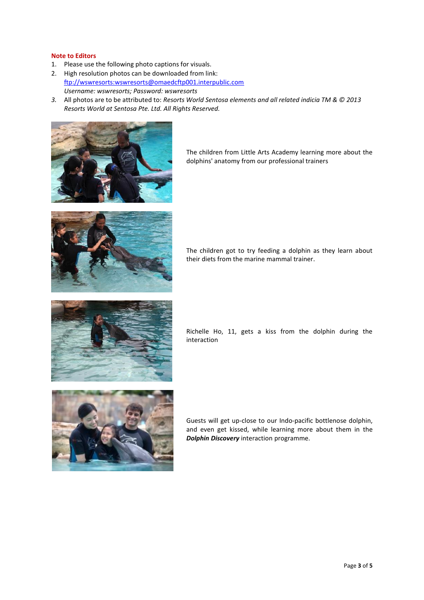## **Note to Editors**

- 1. Please use the following photo captions for visuals.
- 2. High resolution photos can be downloaded from link: [ftp://wswresorts:wswresorts@omaedcftp001.interpublic.com](ftp://wswresorts:wswresorts@omaedcftp001.interpublic.com/) *Username: wswresorts; Password: wswresorts*
- *3.* All photos are to be attributed to: *Resorts World Sentosa elements and all related indicia TM & © 2013 Resorts World at Sentosa Pte. Ltd. All Rights Reserved.*



The children from Little Arts Academy learning more about the dolphins' anatomy from our professional trainers



The children got to try feeding a dolphin as they learn about their diets from the marine mammal trainer.



Richelle Ho, 11, gets a kiss from the dolphin during the interaction



Guests will get up-close to our Indo-pacific bottlenose dolphin, and even get kissed, while learning more about them in the *Dolphin Discovery* interaction programme.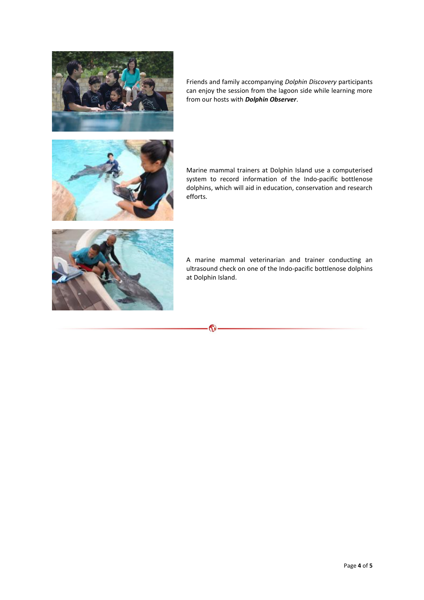

Friends and family accompanying *Dolphin Discovery* participants can enjoy the session from the lagoon side while learning more from our hosts with *Dolphin Observer*.



Marine mammal trainers at Dolphin Island use a computerised system to record information of the Indo-pacific bottlenose dolphins, which will aid in education, conservation and research efforts.



A marine mammal veterinarian and trainer conducting an ultrasound check on one of the Indo-pacific bottlenose dolphins at Dolphin Island.

Co.